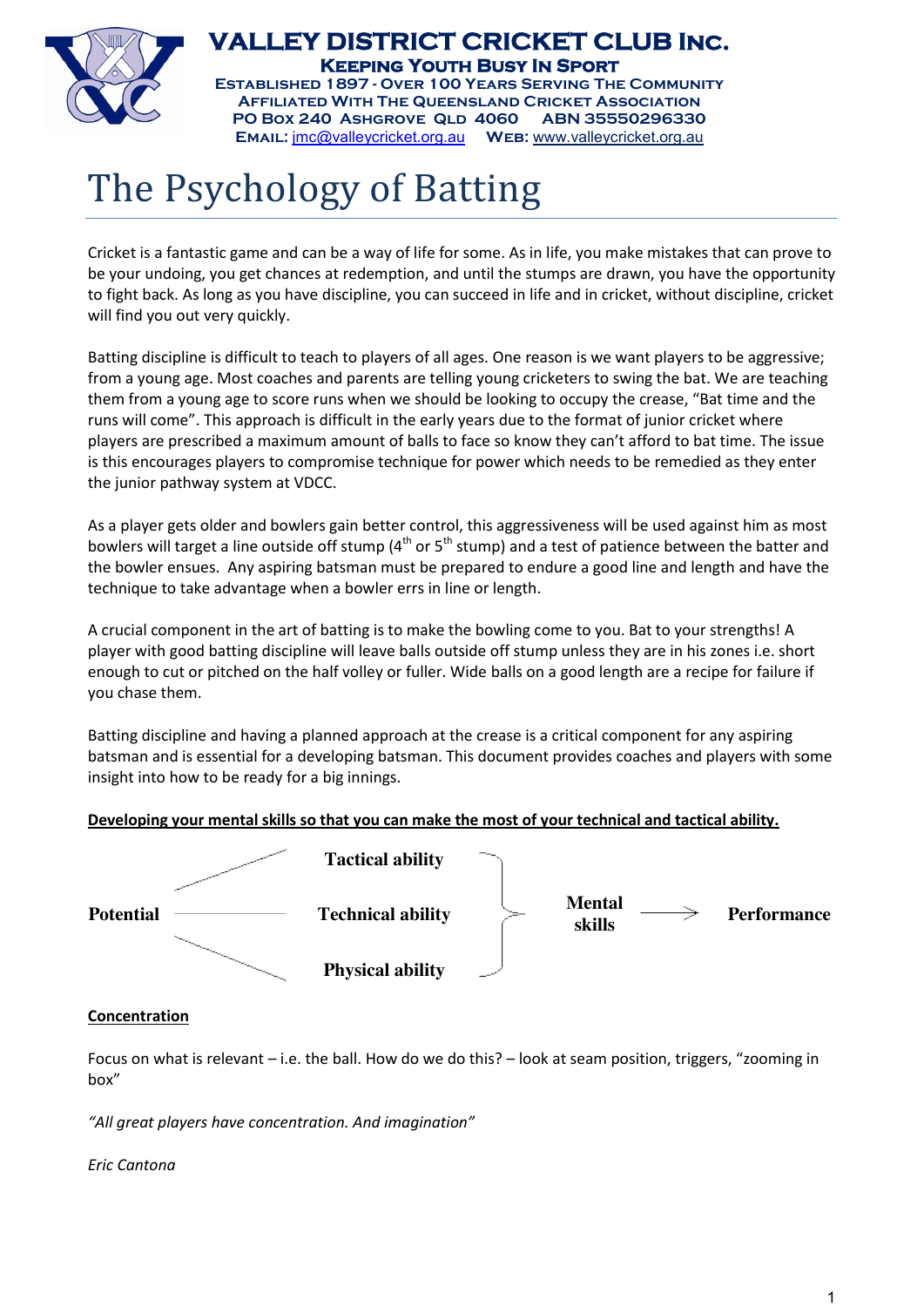

**VALLEY DISTRICT CRICKET CLUB Inc. Keeping Youth Busy In Sport Established 1897 - Over 100 Years Serving The Community**

**Affiliated With The Queensland Cricket Association PO Box 240 Ashgrove Qld 4060 ABN 35550296330 Email:** jmc@valleycricket.org.au **Web:** www.valleycricket.org.au

# The Psychology of Batting

Cricket is a fantastic game and can be a way of life for some. As in life, you make mistakes that can prove to be your undoing, you get chances at redemption, and until the stumps are drawn, you have the opportunity to fight back. As long as you have discipline, you can succeed in life and in cricket, without discipline, cricket will find you out very quickly.

Batting discipline is difficult to teach to players of all ages. One reason is we want players to be aggressive; from a young age. Most coaches and parents are telling young cricketers to swing the bat. We are teaching them from a young age to score runs when we should be looking to occupy the crease, "Bat time and the runs will come". This approach is difficult in the early years due to the format of junior cricket where players are prescribed a maximum amount of balls to face so know they can't afford to bat time. The issue is this encourages players to compromise technique for power which needs to be remedied as they enter the junior pathway system at VDCC.

As a player gets older and bowlers gain better control, this aggressiveness will be used against him as most bowlers will target a line outside off stump ( $4<sup>th</sup>$  or  $5<sup>th</sup>$  stump) and a test of patience between the batter and the bowler ensues. Any aspiring batsman must be prepared to endure a good line and length and have the technique to take advantage when a bowler errs in line or length.

A crucial component in the art of batting is to make the bowling come to you. Bat to your strengths! A player with good batting discipline will leave balls outside off stump unless they are in his zones i.e. short enough to cut or pitched on the half volley or fuller. Wide balls on a good length are a recipe for failure if you chase them.

Batting discipline and having a planned approach at the crease is a critical component for any aspiring batsman and is essential for a developing batsman. This document provides coaches and players with some insight into how to be ready for a big innings.

# **Developing your mental skills so that you can make the most of your technical and tactical ability.**



## **Concentration**

Focus on what is relevant – i.e. the ball. How do we do this? – look at seam position, triggers, "zooming in box"

*"All great players have concentration. And imagination"*

*Eric Cantona*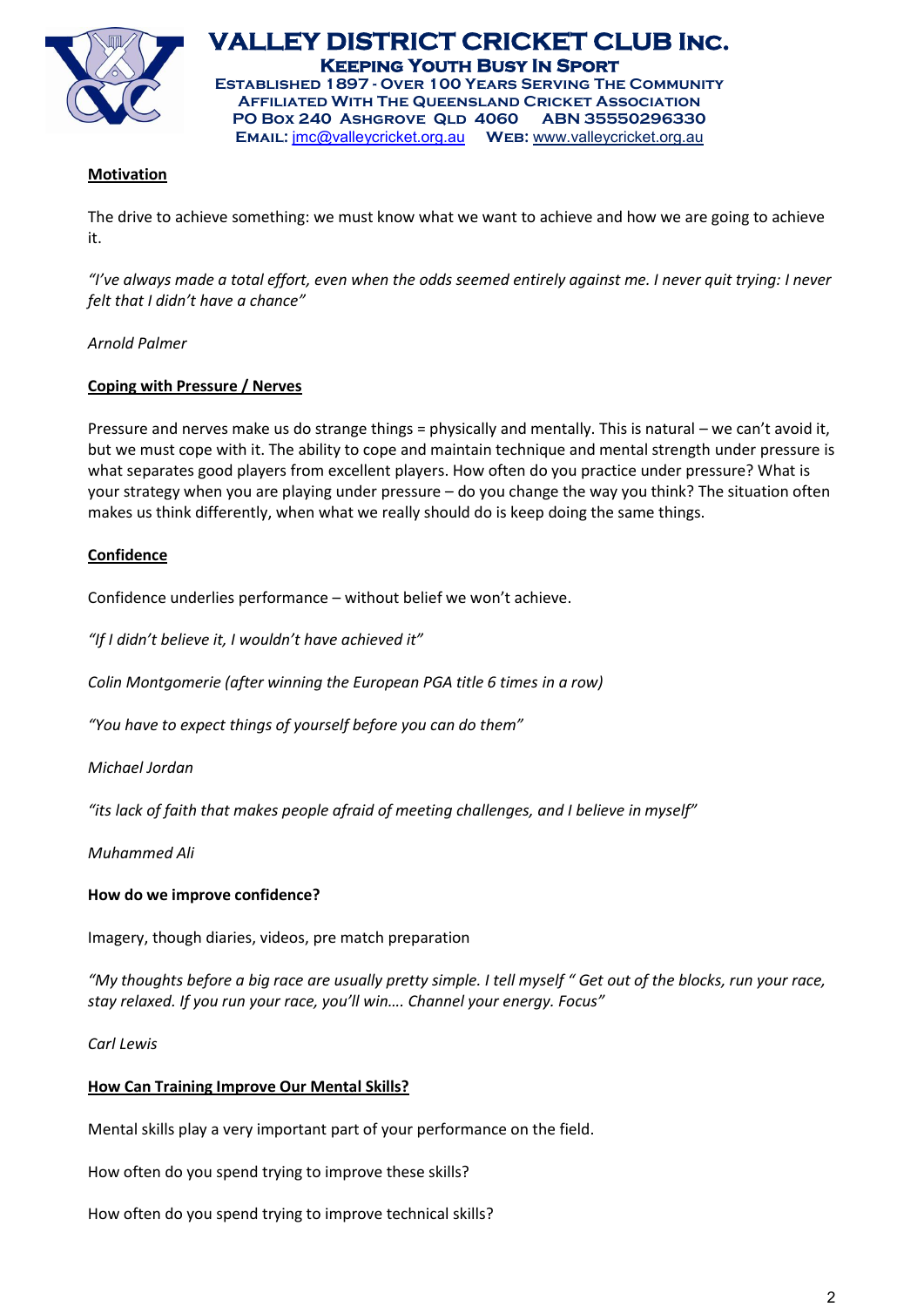

**VALLEY DISTRICT CRICKET CLUB Inc. Keeping Youth Busy In Sport Established 1897 - Over 100 Years Serving The Community Affiliated With The Queensland Cricket Association**

**PO Box 240 Ashgrove Qld 4060 ABN 35550296330 Email:** jmc@valleycricket.org.au **Web:** www.valleycricket.org.au

# **Motivation**

The drive to achieve something: we must know what we want to achieve and how we are going to achieve it.

*"I've always made a total effort, even when the odds seemed entirely against me. I never quit trying: I never felt that I didn't have a chance"*

## *Arnold Palmer*

## **Coping with Pressure / Nerves**

Pressure and nerves make us do strange things = physically and mentally. This is natural – we can't avoid it, but we must cope with it. The ability to cope and maintain technique and mental strength under pressure is what separates good players from excellent players. How often do you practice under pressure? What is your strategy when you are playing under pressure – do you change the way you think? The situation often makes us think differently, when what we really should do is keep doing the same things.

## **Confidence**

Confidence underlies performance – without belief we won't achieve.

*"If I didn't believe it, I wouldn't have achieved it"*

*Colin Montgomerie (after winning the European PGA title 6 times in a row)*

*"You have to expect things of yourself before you can do them"*

*Michael Jordan*

*"its lack of faith that makes people afraid of meeting challenges, and I believe in myself"*

*Muhammed Ali*

#### **How do we improve confidence?**

Imagery, though diaries, videos, pre match preparation

*"My thoughts before a big race are usually pretty simple. I tell myself " Get out of the blocks, run your race, stay relaxed. If you run your race, you'll win…. Channel your energy. Focus"*

*Carl Lewis*

#### **How Can Training Improve Our Mental Skills?**

Mental skills play a very important part of your performance on the field.

How often do you spend trying to improve these skills?

How often do you spend trying to improve technical skills?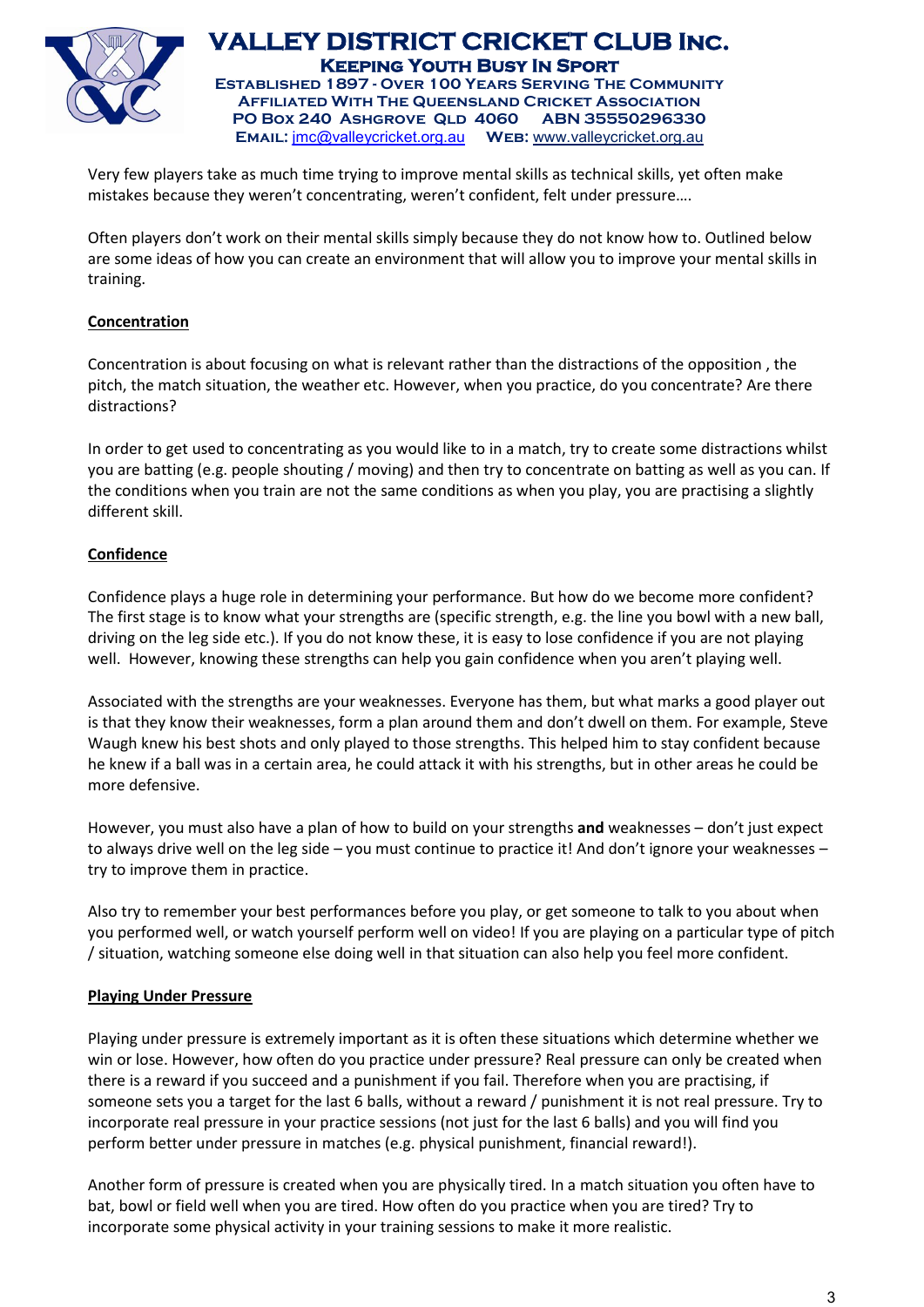

**VALLEY DISTRICT CRICKET CLUB Inc. Keeping Youth Busy In Sport Established 1897 - Over 100 Years Serving The Community**

**Affiliated With The Queensland Cricket Association PO Box 240 Ashgrove Qld 4060 ABN 35550296330 Email:** jmc@valleycricket.org.au **Web:** www.valleycricket.org.au

Very few players take as much time trying to improve mental skills as technical skills, yet often make mistakes because they weren't concentrating, weren't confident, felt under pressure….

Often players don't work on their mental skills simply because they do not know how to. Outlined below are some ideas of how you can create an environment that will allow you to improve your mental skills in training.

## **Concentration**

Concentration is about focusing on what is relevant rather than the distractions of the opposition , the pitch, the match situation, the weather etc. However, when you practice, do you concentrate? Are there distractions?

In order to get used to concentrating as you would like to in a match, try to create some distractions whilst you are batting (e.g. people shouting / moving) and then try to concentrate on batting as well as you can. If the conditions when you train are not the same conditions as when you play, you are practising a slightly different skill.

# **Confidence**

Confidence plays a huge role in determining your performance. But how do we become more confident? The first stage is to know what your strengths are (specific strength, e.g. the line you bowl with a new ball, driving on the leg side etc.). If you do not know these, it is easy to lose confidence if you are not playing well. However, knowing these strengths can help you gain confidence when you aren't playing well.

Associated with the strengths are your weaknesses. Everyone has them, but what marks a good player out is that they know their weaknesses, form a plan around them and don't dwell on them. For example, Steve Waugh knew his best shots and only played to those strengths. This helped him to stay confident because he knew if a ball was in a certain area, he could attack it with his strengths, but in other areas he could be more defensive.

However, you must also have a plan of how to build on your strengths **and** weaknesses – don't just expect to always drive well on the leg side – you must continue to practice it! And don't ignore your weaknesses – try to improve them in practice.

Also try to remember your best performances before you play, or get someone to talk to you about when you performed well, or watch yourself perform well on video! If you are playing on a particular type of pitch / situation, watching someone else doing well in that situation can also help you feel more confident.

## **Playing Under Pressure**

Playing under pressure is extremely important as it is often these situations which determine whether we win or lose. However, how often do you practice under pressure? Real pressure can only be created when there is a reward if you succeed and a punishment if you fail. Therefore when you are practising, if someone sets you a target for the last 6 balls, without a reward / punishment it is not real pressure. Try to incorporate real pressure in your practice sessions (not just for the last 6 balls) and you will find you perform better under pressure in matches (e.g. physical punishment, financial reward!).

Another form of pressure is created when you are physically tired. In a match situation you often have to bat, bowl or field well when you are tired. How often do you practice when you are tired? Try to incorporate some physical activity in your training sessions to make it more realistic.